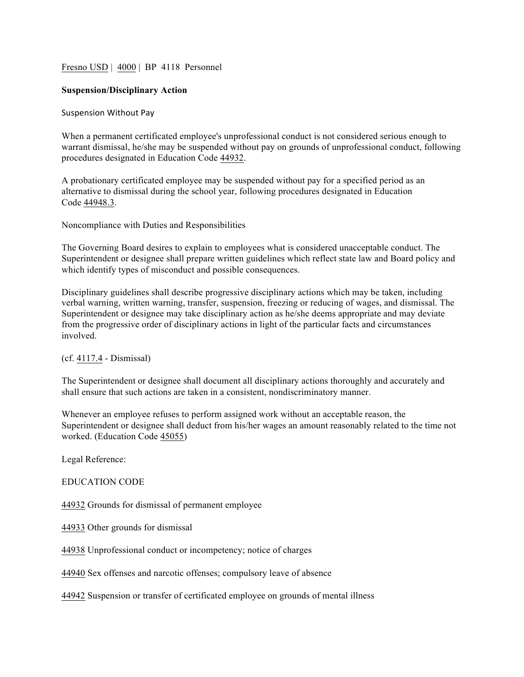Fresno USD | 4000 | BP 4118 Personnel

## **Suspension/Disciplinary Action**

## Suspension Without Pay

When a permanent certificated employee's unprofessional conduct is not considered serious enough to warrant dismissal, he/she may be suspended without pay on grounds of unprofessional conduct, following procedures designated in Education Code 44932.

A probationary certificated employee may be suspended without pay for a specified period as an alternative to dismissal during the school year, following procedures designated in Education Code 44948.3.

Noncompliance with Duties and Responsibilities

The Governing Board desires to explain to employees what is considered unacceptable conduct. The Superintendent or designee shall prepare written guidelines which reflect state law and Board policy and which identify types of misconduct and possible consequences.

Disciplinary guidelines shall describe progressive disciplinary actions which may be taken, including verbal warning, written warning, transfer, suspension, freezing or reducing of wages, and dismissal. The Superintendent or designee may take disciplinary action as he/she deems appropriate and may deviate from the progressive order of disciplinary actions in light of the particular facts and circumstances involved.

(cf. 4117.4 - Dismissal)

The Superintendent or designee shall document all disciplinary actions thoroughly and accurately and shall ensure that such actions are taken in a consistent, nondiscriminatory manner.

Whenever an employee refuses to perform assigned work without an acceptable reason, the Superintendent or designee shall deduct from his/her wages an amount reasonably related to the time not worked. (Education Code 45055)

Legal Reference:

EDUCATION CODE

44932 Grounds for dismissal of permanent employee

44933 Other grounds for dismissal

44938 Unprofessional conduct or incompetency; notice of charges

44940 Sex offenses and narcotic offenses; compulsory leave of absence

44942 Suspension or transfer of certificated employee on grounds of mental illness